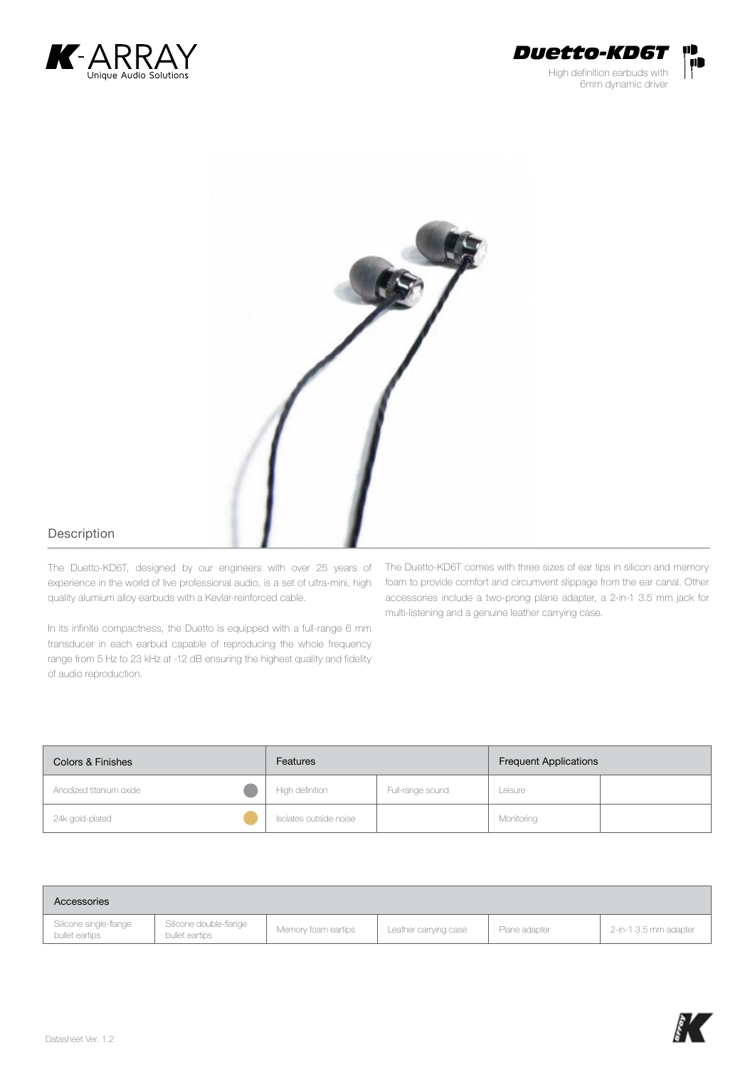





## Description

The Duetto-KD6T, designed by our engineers with over 25 years of experience in the world of live professional audio, is a set of ultra-mini, high quality alumium alloy earbuds with a Kevlar-reinforced cable.

In its infinite compactness, the Duetto is equipped with a full-range 6 mm transducer in each earbud capable of reproducing the whole frequency range from 5 Hz to 23 kHz at -12 dB ensuring the highest quality and fidelity of audio reproduction.

The Duetto-KD6T comes with three sizes of ear tips in silicon and memory foam to provide comfort and circumvent slippage from the ear canal. Other accessories include a two-prong plane adapter, a 2-in-1 3.5 mm jack for multi-listening and a genuine leather carrying case.

| Colors & Finishes       | Features               |                  | <b>Frequent Applications</b> |  |
|-------------------------|------------------------|------------------|------------------------------|--|
| Anodized titanium oxide | High definition        | Full-range sound | Leisure                      |  |
| 24k gold-plated         | Isolates outside noise |                  | Monitoring                   |  |

| Accessories                              |                                          |                     |                       |               |                       |
|------------------------------------------|------------------------------------------|---------------------|-----------------------|---------------|-----------------------|
| Silicone single-flange<br>bullet eartips | Silicone double-flange<br>bullet eartips | Memory foam eartips | Leather carrying case | Plane adapter | 2-in-1 3.5 mm adapter |